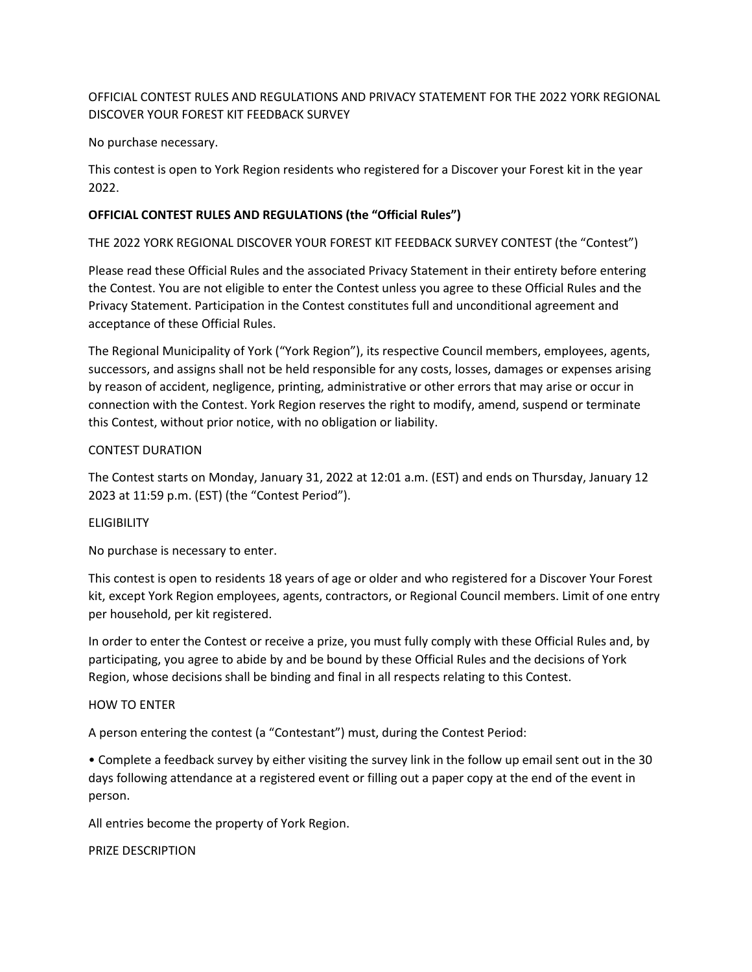# OFFICIAL CONTEST RULES AND REGULATIONS AND PRIVACY STATEMENT FOR THE 2022 YORK REGIONAL DISCOVER YOUR FOREST KIT FEEDBACK SURVEY

No purchase necessary.

This contest is open to York Region residents who registered for a Discover your Forest kit in the year 2022.

## **OFFICIAL CONTEST RULES AND REGULATIONS (the "Official Rules")**

THE 2022 YORK REGIONAL DISCOVER YOUR FOREST KIT FEEDBACK SURVEY CONTEST (the "Contest")

Please read these Official Rules and the associated Privacy Statement in their entirety before entering the Contest. You are not eligible to enter the Contest unless you agree to these Official Rules and the Privacy Statement. Participation in the Contest constitutes full and unconditional agreement and acceptance of these Official Rules.

The Regional Municipality of York ("York Region"), its respective Council members, employees, agents, successors, and assigns shall not be held responsible for any costs, losses, damages or expenses arising by reason of accident, negligence, printing, administrative or other errors that may arise or occur in connection with the Contest. York Region reserves the right to modify, amend, suspend or terminate this Contest, without prior notice, with no obligation or liability.

#### CONTEST DURATION

The Contest starts on Monday, January 31, 2022 at 12:01 a.m. (EST) and ends on Thursday, January 12 2023 at 11:59 p.m. (EST) (the "Contest Period").

### **ELIGIBILITY**

No purchase is necessary to enter.

This contest is open to residents 18 years of age or older and who registered for a Discover Your Forest kit, except York Region employees, agents, contractors, or Regional Council members. Limit of one entry per household, per kit registered.

In order to enter the Contest or receive a prize, you must fully comply with these Official Rules and, by participating, you agree to abide by and be bound by these Official Rules and the decisions of York Region, whose decisions shall be binding and final in all respects relating to this Contest.

#### HOW TO ENTER

A person entering the contest (a "Contestant") must, during the Contest Period:

• Complete a feedback survey by either visiting the survey link in the follow up email sent out in the 30 days following attendance at a registered event or filling out a paper copy at the end of the event in person.

All entries become the property of York Region.

PRIZE DESCRIPTION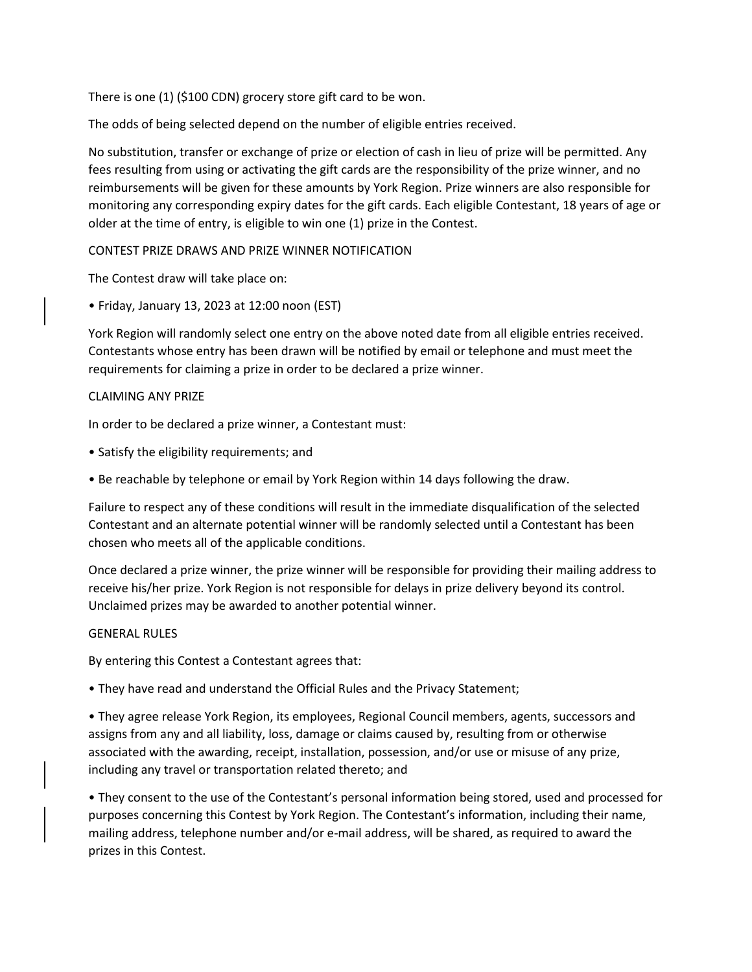There is one (1) (\$100 CDN) grocery store gift card to be won.

The odds of being selected depend on the number of eligible entries received.

No substitution, transfer or exchange of prize or election of cash in lieu of prize will be permitted. Any fees resulting from using or activating the gift cards are the responsibility of the prize winner, and no reimbursements will be given for these amounts by York Region. Prize winners are also responsible for monitoring any corresponding expiry dates for the gift cards. Each eligible Contestant, 18 years of age or older at the time of entry, is eligible to win one (1) prize in the Contest.

CONTEST PRIZE DRAWS AND PRIZE WINNER NOTIFICATION

The Contest draw will take place on:

• Friday, January 13, 2023 at 12:00 noon (EST)

York Region will randomly select one entry on the above noted date from all eligible entries received. Contestants whose entry has been drawn will be notified by email or telephone and must meet the requirements for claiming a prize in order to be declared a prize winner.

#### CLAIMING ANY PRIZE

In order to be declared a prize winner, a Contestant must:

- Satisfy the eligibility requirements; and
- Be reachable by telephone or email by York Region within 14 days following the draw.

Failure to respect any of these conditions will result in the immediate disqualification of the selected Contestant and an alternate potential winner will be randomly selected until a Contestant has been chosen who meets all of the applicable conditions.

Once declared a prize winner, the prize winner will be responsible for providing their mailing address to receive his/her prize. York Region is not responsible for delays in prize delivery beyond its control. Unclaimed prizes may be awarded to another potential winner.

#### GENERAL RULES

By entering this Contest a Contestant agrees that:

• They have read and understand the Official Rules and the Privacy Statement;

• They agree release York Region, its employees, Regional Council members, agents, successors and assigns from any and all liability, loss, damage or claims caused by, resulting from or otherwise associated with the awarding, receipt, installation, possession, and/or use or misuse of any prize, including any travel or transportation related thereto; and

• They consent to the use of the Contestant's personal information being stored, used and processed for purposes concerning this Contest by York Region. The Contestant's information, including their name, mailing address, telephone number and/or e-mail address, will be shared, as required to award the prizes in this Contest.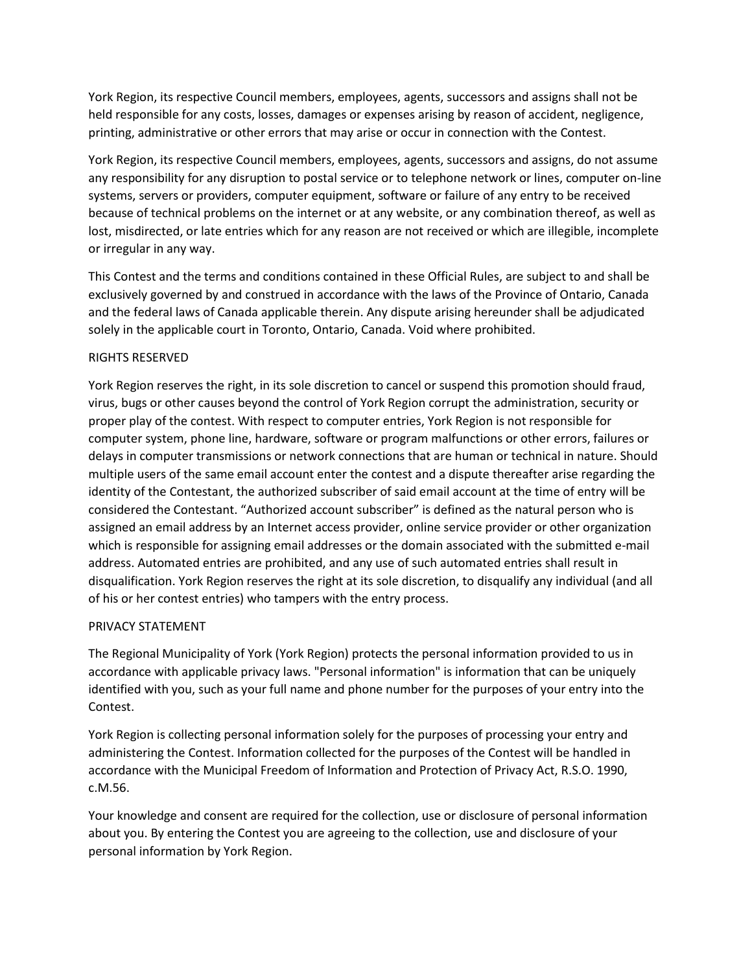York Region, its respective Council members, employees, agents, successors and assigns shall not be held responsible for any costs, losses, damages or expenses arising by reason of accident, negligence, printing, administrative or other errors that may arise or occur in connection with the Contest.

York Region, its respective Council members, employees, agents, successors and assigns, do not assume any responsibility for any disruption to postal service or to telephone network or lines, computer on-line systems, servers or providers, computer equipment, software or failure of any entry to be received because of technical problems on the internet or at any website, or any combination thereof, as well as lost, misdirected, or late entries which for any reason are not received or which are illegible, incomplete or irregular in any way.

This Contest and the terms and conditions contained in these Official Rules, are subject to and shall be exclusively governed by and construed in accordance with the laws of the Province of Ontario, Canada and the federal laws of Canada applicable therein. Any dispute arising hereunder shall be adjudicated solely in the applicable court in Toronto, Ontario, Canada. Void where prohibited.

# RIGHTS RESERVED

York Region reserves the right, in its sole discretion to cancel or suspend this promotion should fraud, virus, bugs or other causes beyond the control of York Region corrupt the administration, security or proper play of the contest. With respect to computer entries, York Region is not responsible for computer system, phone line, hardware, software or program malfunctions or other errors, failures or delays in computer transmissions or network connections that are human or technical in nature. Should multiple users of the same email account enter the contest and a dispute thereafter arise regarding the identity of the Contestant, the authorized subscriber of said email account at the time of entry will be considered the Contestant. "Authorized account subscriber" is defined as the natural person who is assigned an email address by an Internet access provider, online service provider or other organization which is responsible for assigning email addresses or the domain associated with the submitted e-mail address. Automated entries are prohibited, and any use of such automated entries shall result in disqualification. York Region reserves the right at its sole discretion, to disqualify any individual (and all of his or her contest entries) who tampers with the entry process.

### PRIVACY STATEMENT

The Regional Municipality of York (York Region) protects the personal information provided to us in accordance with applicable privacy laws. "Personal information" is information that can be uniquely identified with you, such as your full name and phone number for the purposes of your entry into the Contest.

York Region is collecting personal information solely for the purposes of processing your entry and administering the Contest. Information collected for the purposes of the Contest will be handled in accordance with the Municipal Freedom of Information and Protection of Privacy Act, R.S.O. 1990, c.M.56.

Your knowledge and consent are required for the collection, use or disclosure of personal information about you. By entering the Contest you are agreeing to the collection, use and disclosure of your personal information by York Region.